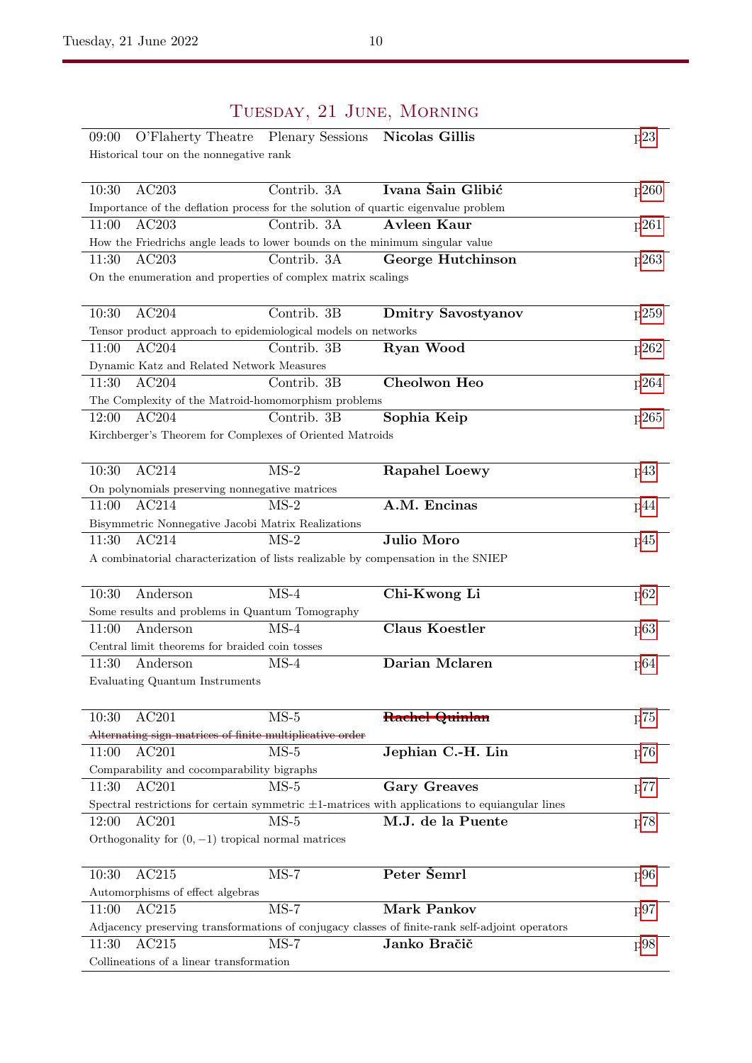| 09:00                                                                              | O'Flaherty Theatre Plenary Sessions | <b>Nicolas Gillis</b>                                                                                | p23  |
|------------------------------------------------------------------------------------|-------------------------------------|------------------------------------------------------------------------------------------------------|------|
| Historical tour on the nonnegative rank                                            |                                     |                                                                                                      |      |
|                                                                                    |                                     |                                                                                                      |      |
| AC203<br>10:30                                                                     | Contrib. 3A                         | Ivana Šain Glibić                                                                                    | p260 |
| Importance of the deflation process for the solution of quartic eigenvalue problem |                                     |                                                                                                      |      |
| AC203<br>11:00                                                                     | Contrib. 3A                         | <b>Avleen Kaur</b>                                                                                   | p261 |
| How the Friedrichs angle leads to lower bounds on the minimum singular value       |                                     |                                                                                                      |      |
| AC203<br>11:30                                                                     | Contrib. 3A                         | George Hutchinson                                                                                    | p263 |
| On the enumeration and properties of complex matrix scalings                       |                                     |                                                                                                      |      |
|                                                                                    |                                     |                                                                                                      |      |
| 10:30<br>AC204                                                                     | Contrib. 3B                         | <b>Dmitry Savostyanov</b>                                                                            | p259 |
| Tensor product approach to epidemiological models on networks                      |                                     |                                                                                                      |      |
| AC204<br>11:00                                                                     | Contrib. 3B                         | Ryan Wood                                                                                            | p262 |
| Dynamic Katz and Related Network Measures                                          |                                     |                                                                                                      |      |
| AC204<br>11:30                                                                     | Contrib. 3B                         | Cheolwon Heo                                                                                         | p264 |
| The Complexity of the Matroid-homomorphism problems                                |                                     |                                                                                                      |      |
| AC204<br>12:00                                                                     | Contrib. 3B                         | Sophia Keip                                                                                          | p265 |
| Kirchberger's Theorem for Complexes of Oriented Matroids                           |                                     |                                                                                                      |      |
|                                                                                    |                                     |                                                                                                      |      |
| AC214<br>10:30                                                                     | $MS-2$                              | <b>Rapahel Loewy</b>                                                                                 | p43  |
| On polynomials preserving nonnegative matrices                                     |                                     |                                                                                                      |      |
| AC214<br>11:00                                                                     | $MS-2$                              | A.M. Encinas                                                                                         | p44  |
| Bisymmetric Nonnegative Jacobi Matrix Realizations                                 |                                     |                                                                                                      |      |
| AC214<br>11:30                                                                     | $MS-2$                              | Julio Moro                                                                                           | p45  |
| A combinatorial characterization of lists realizable by compensation in the SNIEP  |                                     |                                                                                                      |      |
|                                                                                    |                                     |                                                                                                      |      |
| 10:30<br>Anderson                                                                  | $MS-4$                              | Chi-Kwong Li                                                                                         | p62  |
| Some results and problems in Quantum Tomography                                    |                                     |                                                                                                      |      |
| 11:00<br>Anderson                                                                  | $MS-4$                              | <b>Claus Koestler</b>                                                                                | p63  |
| Central limit theorems for braided coin tosses                                     |                                     |                                                                                                      |      |
| 11:30<br>Anderson                                                                  | $MS-4$                              | Darian Mclaren                                                                                       | p64  |
| Evaluating Quantum Instruments                                                     |                                     |                                                                                                      |      |
|                                                                                    |                                     |                                                                                                      |      |
| AC201<br>10:30                                                                     | $MS-5$                              |                                                                                                      |      |
|                                                                                    |                                     | Rachel Quinlan                                                                                       | p75  |
| Alternating sign matrices of finite multiplicative order                           | $\overline{\text{MS-5}}$            | Jephian C.-H. Lin                                                                                    |      |
| AC201<br>11:00                                                                     |                                     |                                                                                                      | p76  |
| Comparability and cocomparability bigraphs                                         |                                     |                                                                                                      |      |
| 11:30<br>AC201                                                                     | $MS-5$                              | <b>Gary Greaves</b>                                                                                  |      |
|                                                                                    |                                     |                                                                                                      | p77  |
|                                                                                    |                                     | Spectral restrictions for certain symmetric $\pm 1$ -matrices with applications to equiangular lines |      |
| AC201<br>12:00                                                                     | $MS-5$                              | M.J. de la Puente                                                                                    | p78  |
| Orthogonality for $(0, -1)$ tropical normal matrices                               |                                     |                                                                                                      |      |
|                                                                                    |                                     |                                                                                                      |      |
| AC215<br>10:30                                                                     | $MS-7$                              | Peter Semrl                                                                                          | p96  |
| Automorphisms of effect algebras                                                   |                                     |                                                                                                      |      |
| 11:00<br>AC215                                                                     | $MS-7$                              | <b>Mark Pankov</b>                                                                                   | p97  |
|                                                                                    |                                     | Adjacency preserving transformations of conjugacy classes of finite-rank self-adjoint operators      |      |
| $\overline{AC}215$<br>11:30<br>Collineations of a linear transformation            | $MS-7$                              | Janko Bračič                                                                                         | p98  |

## Tuesday, 21 June, Morning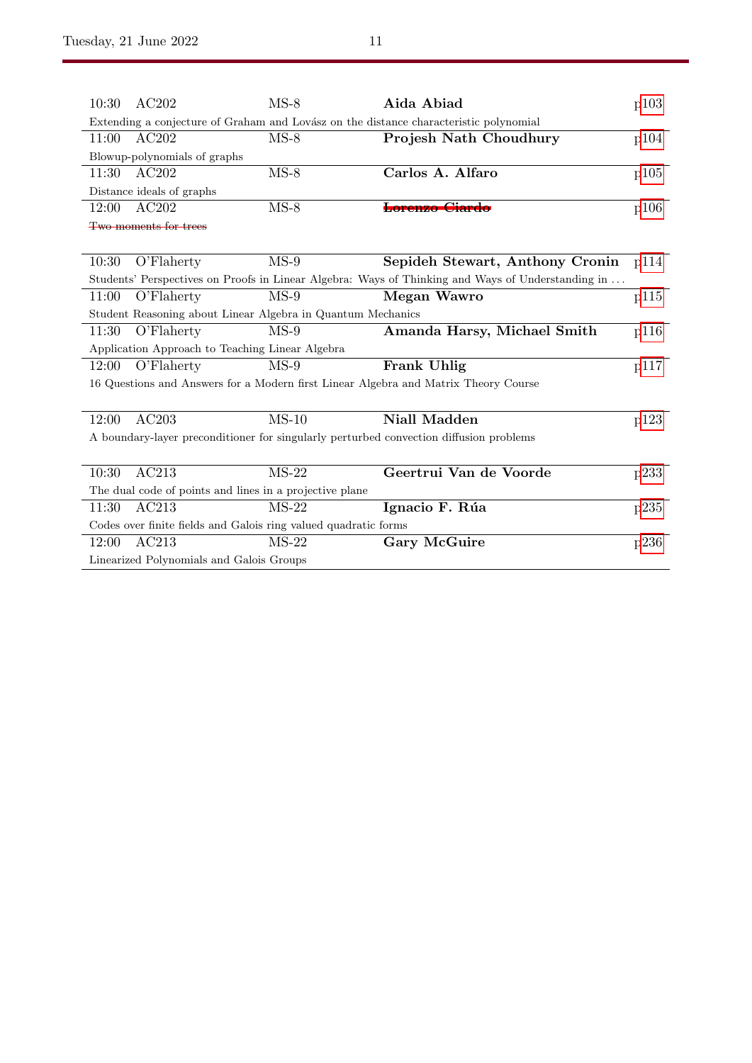| 10:30                                                                                  | AC202                                                       | $MS-8$                     | Aida Abiad                                                                                        | p103 |  |
|----------------------------------------------------------------------------------------|-------------------------------------------------------------|----------------------------|---------------------------------------------------------------------------------------------------|------|--|
|                                                                                        |                                                             |                            | Extending a conjecture of Graham and Lovász on the distance characteristic polynomial             |      |  |
| 11:00                                                                                  | AC202                                                       | $MS-8$                     | Projesh Nath Choudhury                                                                            | p104 |  |
|                                                                                        | Blowup-polynomials of graphs                                |                            |                                                                                                   |      |  |
| 11:30                                                                                  | AC202                                                       | $MS-8$                     | Carlos A. Alfaro                                                                                  | p105 |  |
|                                                                                        | Distance ideals of graphs                                   |                            |                                                                                                   |      |  |
| 12:00                                                                                  | AC202                                                       | $MS-8$                     | Lorenzo Ciardo                                                                                    | p106 |  |
|                                                                                        | Two moments for trees                                       |                            |                                                                                                   |      |  |
|                                                                                        |                                                             |                            |                                                                                                   |      |  |
| 10:30                                                                                  | O'Flaherty                                                  | $MS-9$                     | Sepideh Stewart, Anthony Cronin                                                                   | p114 |  |
|                                                                                        |                                                             |                            | Students' Perspectives on Proofs in Linear Algebra: Ways of Thinking and Ways of Understanding in |      |  |
| 11:00                                                                                  | O'Flaherty                                                  | $MS-9$                     | Megan Wawro                                                                                       | p115 |  |
|                                                                                        | Student Reasoning about Linear Algebra in Quantum Mechanics |                            |                                                                                                   |      |  |
| 11:30                                                                                  | O'Flaherty                                                  | $MS-9$                     | Amanda Harsy, Michael Smith                                                                       | p116 |  |
|                                                                                        | Application Approach to Teaching Linear Algebra             |                            |                                                                                                   |      |  |
| 12:00                                                                                  | O'Flahertv                                                  | $MS-9$                     | Frank Uhlig                                                                                       | p117 |  |
| 16 Questions and Answers for a Modern first Linear Algebra and Matrix Theory Course    |                                                             |                            |                                                                                                   |      |  |
|                                                                                        |                                                             |                            |                                                                                                   |      |  |
| 12:00                                                                                  | AC203                                                       | $MS-10$                    | <b>Niall Madden</b>                                                                               | p123 |  |
| A boundary-layer preconditioner for singularly perturbed convection diffusion problems |                                                             |                            |                                                                                                   |      |  |
|                                                                                        |                                                             |                            |                                                                                                   |      |  |
| 10:30                                                                                  | AC213                                                       | $\overline{\text{MS}}$ -22 | Geertrui Van de Voorde                                                                            | p233 |  |
| The dual code of points and lines in a projective plane                                |                                                             |                            |                                                                                                   |      |  |
| 11:30                                                                                  | AC213                                                       | $MS-22$                    | Ignacio F. Rúa                                                                                    | p235 |  |
| Codes over finite fields and Galois ring valued quadratic forms                        |                                                             |                            |                                                                                                   |      |  |
| 12:00                                                                                  | AC213                                                       | $MS-22$                    | Gary McGuire                                                                                      | p236 |  |
| Linearized Polynomials and Galois Groups                                               |                                                             |                            |                                                                                                   |      |  |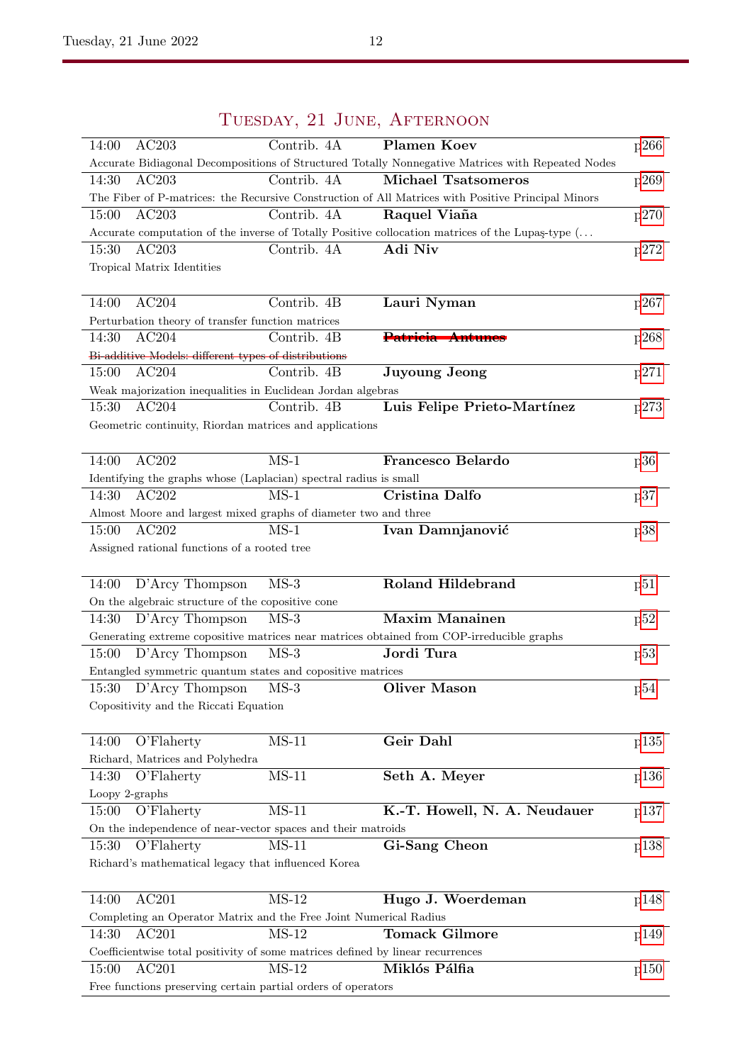| AC203<br>Contrib. 4A<br>14:00                                                                      | <b>Plamen Koev</b>           | p266 |
|----------------------------------------------------------------------------------------------------|------------------------------|------|
| Accurate Bidiagonal Decompositions of Structured Totally Nonnegative Matrices with Repeated Nodes  |                              |      |
| 14:30<br>AC203<br>Contrib. 4A                                                                      | <b>Michael Tsatsomeros</b>   | p269 |
| The Fiber of P-matrices: the Recursive Construction of All Matrices with Positive Principal Minors |                              |      |
| AC203<br>Contrib. 4A<br>15:00                                                                      | Raquel Viaña                 | p270 |
| Accurate computation of the inverse of Totally Positive collocation matrices of the Lupas-type (   |                              |      |
| AC203<br>15:30<br>Contrib. 4A                                                                      | Adi Niv                      | p272 |
| Tropical Matrix Identities                                                                         |                              |      |
|                                                                                                    |                              |      |
| AC204<br>Contrib. 4B<br>14:00                                                                      | Lauri Nyman                  | p267 |
| Perturbation theory of transfer function matrices                                                  |                              |      |
| AC204<br>Contrib. 4B<br>14:30                                                                      | Patricia Antunes             | p268 |
| Bi-additive Models: different types of distributions                                               |                              |      |
| AC204<br>Contrib. 4B<br>15:00                                                                      | <b>Juyoung Jeong</b>         | p271 |
| Weak majorization inequalities in Euclidean Jordan algebras                                        |                              |      |
| 15:30<br>AC204<br>Contrib. 4B                                                                      | Luis Felipe Prieto-Martínez  | p273 |
| Geometric continuity, Riordan matrices and applications                                            |                              |      |
|                                                                                                    |                              |      |
| AC202<br>$MS-1$<br>14:00                                                                           | Francesco Belardo            | p36  |
| Identifying the graphs whose (Laplacian) spectral radius is small                                  |                              |      |
| AC202<br>$MS-1$<br>14:30                                                                           | <b>Cristina Dalfo</b>        | p37  |
| Almost Moore and largest mixed graphs of diameter two and three                                    |                              |      |
| AC202<br>$MS-1$<br>15:00                                                                           | Ivan Damnjanović             | p38  |
| Assigned rational functions of a rooted tree                                                       |                              |      |
|                                                                                                    |                              |      |
| D'Arcy Thompson<br>$MS-3$<br>14:00                                                                 | <b>Roland Hildebrand</b>     | p51  |
| On the algebraic structure of the copositive cone                                                  |                              |      |
| D'Arcy Thompson<br>$MS-3$<br>14:30                                                                 | <b>Maxim Manainen</b>        | p52  |
| Generating extreme copositive matrices near matrices obtained from COP-irreducible graphs          |                              |      |
| $MS-3$<br>D'Arcy Thompson<br>15:00                                                                 | Jordi Tura                   | p53  |
| Entangled symmetric quantum states and copositive matrices                                         |                              |      |
| D'Arcy Thompson<br>$MS-3$<br>15:30                                                                 | <b>Oliver Mason</b>          | p54  |
| Copositivity and the Riccati Equation                                                              |                              |      |
|                                                                                                    |                              |      |
| $MS-11$<br>14:00<br>O'Flaherty                                                                     | Geir Dahl                    | p135 |
| Richard, Matrices and Polyhedra                                                                    |                              |      |
| $MS-11$<br>14:30<br>O'Flaherty                                                                     | Seth A. Meyer                | p136 |
| Loopy 2-graphs                                                                                     |                              |      |
| $MS-11$<br>O'Flaherty<br>15:00                                                                     | K.-T. Howell, N. A. Neudauer | p137 |
| On the independence of near-vector spaces and their matroids                                       |                              |      |
| $MS-11$<br>15:30<br>O'Flaherty                                                                     | Gi-Sang Cheon                | p138 |
| Richard's mathematical legacy that influenced Korea                                                |                              |      |
|                                                                                                    |                              |      |
| AC201<br>14:00<br>$MS-12$                                                                          | Hugo J. Woerdeman            |      |
|                                                                                                    |                              | p148 |
| Completing an Operator Matrix and the Free Joint Numerical Radius<br>$MS-12$<br>14:30<br>AC201     | <b>Tomack Gilmore</b>        |      |
|                                                                                                    |                              | p149 |
| Coefficientwise total positivity of some matrices defined by linear recurrences                    |                              |      |
| AC201<br>$MS-12$<br>15:00                                                                          | Miklós Pálfia                | p150 |
| Free functions preserving certain partial orders of operators                                      |                              |      |

## Tuesday, 21 June, Afternoon